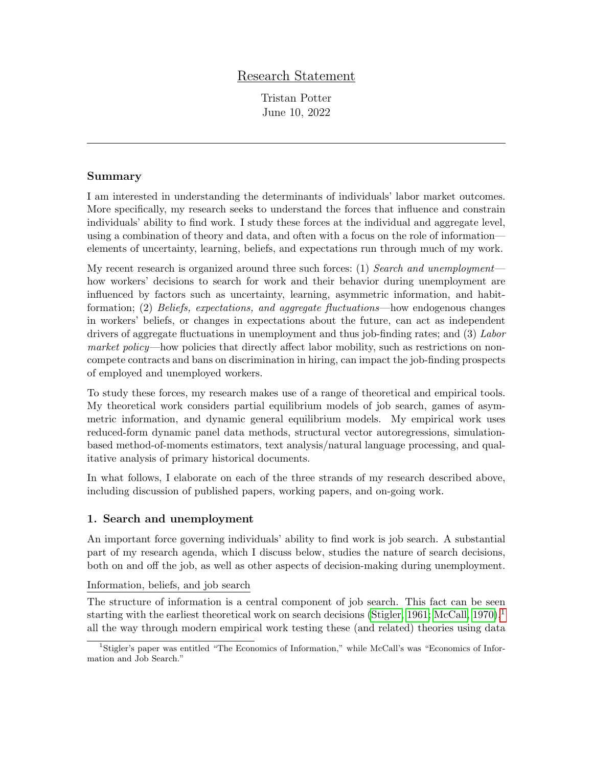# Research Statement

Tristan Potter June 10, 2022

## Summary

I am interested in understanding the determinants of individuals' labor market outcomes. More specifically, my research seeks to understand the forces that influence and constrain individuals' ability to find work. I study these forces at the individual and aggregate level, using a combination of theory and data, and often with a focus on the role of information elements of uncertainty, learning, beliefs, and expectations run through much of my work.

My recent research is organized around three such forces: (1) Search and unemployment how workers' decisions to search for work and their behavior during unemployment are influenced by factors such as uncertainty, learning, asymmetric information, and habitformation; (2) Beliefs, expectations, and aggregate fluctuations—how endogenous changes in workers' beliefs, or changes in expectations about the future, can act as independent drivers of aggregate fluctuations in unemployment and thus job-finding rates; and (3) Labor market policy—how policies that directly affect labor mobility, such as restrictions on noncompete contracts and bans on discrimination in hiring, can impact the job-finding prospects of employed and unemployed workers.

To study these forces, my research makes use of a range of theoretical and empirical tools. My theoretical work considers partial equilibrium models of job search, games of asymmetric information, and dynamic general equilibrium models. My empirical work uses reduced-form dynamic panel data methods, structural vector autoregressions, simulationbased method-of-moments estimators, text analysis/natural language processing, and qualitative analysis of primary historical documents.

In what follows, I elaborate on each of the three strands of my research described above, including discussion of published papers, working papers, and on-going work.

## 1. Search and unemployment

An important force governing individuals' ability to find work is job search. A substantial part of my research agenda, which I discuss below, studies the nature of search decisions, both on and off the job, as well as other aspects of decision-making during unemployment.

Information, beliefs, and job search

The structure of information is a central component of job search. This fact can be seen starting with the earliest theoretical work on search decisions [\(Stigler, 1961;](#page-7-0) [McCall, 1970\)](#page-6-0),  $\frac{1}{2}$  $\frac{1}{2}$  $\frac{1}{2}$ all the way through modern empirical work testing these (and related) theories using data

<span id="page-0-0"></span><sup>1</sup>Stigler's paper was entitled "The Economics of Information," while McCall's was "Economics of Information and Job Search."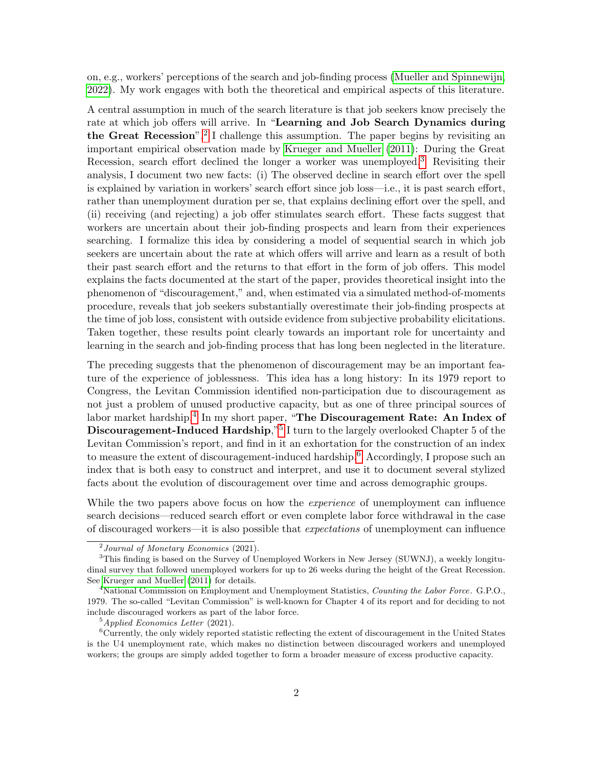on, e.g., workers' perceptions of the search and job-finding process [\(Mueller and Spinnewijn,](#page-6-1) [2022\)](#page-6-1). My work engages with both the theoretical and empirical aspects of this literature.

A central assumption in much of the search literature is that job seekers know precisely the rate at which job offers will arrive. In "Learning and Job Search Dynamics during the Great Recession",<sup>[2](#page-1-0)</sup> I challenge this assumption. The paper begins by revisiting an important empirical observation made by [Krueger and Mueller](#page-6-2) [\(2011\)](#page-6-2): During the Great Recession, search effort declined the longer a worker was unemployed.<sup>[3](#page-1-1)</sup> Revisiting their analysis, I document two new facts: (i) The observed decline in search effort over the spell is explained by variation in workers' search effort since job loss—i.e., it is past search effort, rather than unemployment duration per se, that explains declining effort over the spell, and (ii) receiving (and rejecting) a job offer stimulates search effort. These facts suggest that workers are uncertain about their job-finding prospects and learn from their experiences searching. I formalize this idea by considering a model of sequential search in which job seekers are uncertain about the rate at which offers will arrive and learn as a result of both their past search effort and the returns to that effort in the form of job offers. This model explains the facts documented at the start of the paper, provides theoretical insight into the phenomenon of "discouragement," and, when estimated via a simulated method-of-moments procedure, reveals that job seekers substantially overestimate their job-finding prospects at the time of job loss, consistent with outside evidence from subjective probability elicitations. Taken together, these results point clearly towards an important role for uncertainty and learning in the search and job-finding process that has long been neglected in the literature.

The preceding suggests that the phenomenon of discouragement may be an important feature of the experience of joblessness. This idea has a long history: In its 1979 report to Congress, the Levitan Commission identified non-participation due to discouragement as not just a problem of unused productive capacity, but as one of three principal sources of labor market hardship.<sup>[4](#page-1-2)</sup> In my short paper, "The Discouragement Rate: An Index of Discouragement-Induced Hardship,"<sup>[5](#page-1-3)</sup> I turn to the largely overlooked Chapter 5 of the Levitan Commission's report, and find in it an exhortation for the construction of an index to measure the extent of discouragement-induced hardship.<sup>[6](#page-1-4)</sup> Accordingly, I propose such an index that is both easy to construct and interpret, and use it to document several stylized facts about the evolution of discouragement over time and across demographic groups.

While the two papers above focus on how the *experience* of unemployment can influence search decisions—reduced search effort or even complete labor force withdrawal in the case of discouraged workers—it is also possible that expectations of unemployment can influence

<span id="page-1-1"></span><span id="page-1-0"></span> $^{2}$ Journal of Monetary Economics (2021).

<sup>&</sup>lt;sup>3</sup>This finding is based on the Survey of Unemployed Workers in New Jersey (SUWNJ), a weekly longitudinal survey that followed unemployed workers for up to 26 weeks during the height of the Great Recession. See [Krueger and Mueller](#page-6-2) [\(2011\)](#page-6-2) for details.

<span id="page-1-2"></span><sup>&</sup>lt;sup>4</sup>National Commission on Employment and Unemployment Statistics, Counting the Labor Force. G.P.O., 1979. The so-called "Levitan Commission" is well-known for Chapter 4 of its report and for deciding to not include discouraged workers as part of the labor force.

<span id="page-1-4"></span><span id="page-1-3"></span><sup>5</sup>Applied Economics Letter (2021).

 $6Currently$ , the only widely reported statistic reflecting the extent of discouragement in the United States is the U4 unemployment rate, which makes no distinction between discouraged workers and unemployed workers; the groups are simply added together to form a broader measure of excess productive capacity.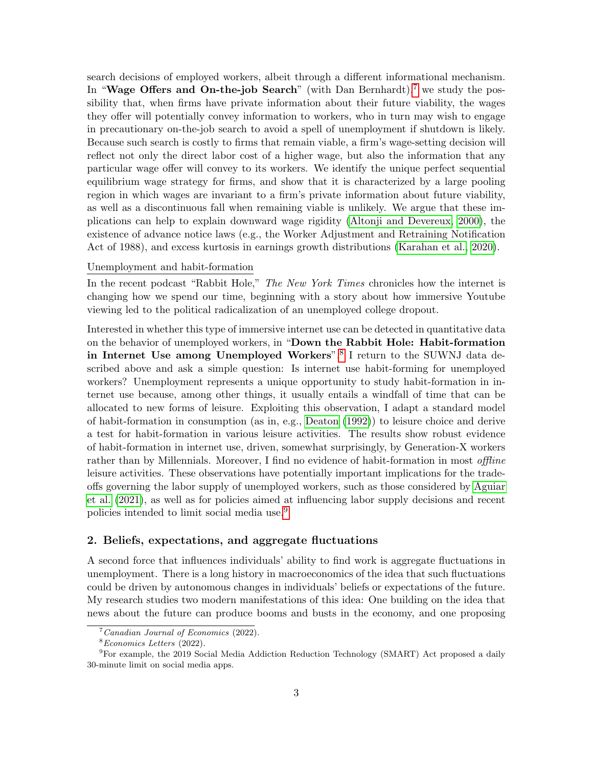search decisions of employed workers, albeit through a different informational mechanism. In "Wage Offers and On-the-job Search" (with Dan Bernhardt),<sup>[7](#page-2-0)</sup> we study the possibility that, when firms have private information about their future viability, the wages they offer will potentially convey information to workers, who in turn may wish to engage in precautionary on-the-job search to avoid a spell of unemployment if shutdown is likely. Because such search is costly to firms that remain viable, a firm's wage-setting decision will reflect not only the direct labor cost of a higher wage, but also the information that any particular wage offer will convey to its workers. We identify the unique perfect sequential equilibrium wage strategy for firms, and show that it is characterized by a large pooling region in which wages are invariant to a firm's private information about future viability, as well as a discontinuous fall when remaining viable is unlikely. We argue that these implications can help to explain downward wage rigidity [\(Altonji and Devereux, 2000\)](#page-6-3), the existence of advance notice laws (e.g., the Worker Adjustment and Retraining Notification Act of 1988), and excess kurtosis in earnings growth distributions [\(Karahan et al., 2020\)](#page-6-4).

#### Unemployment and habit-formation

In the recent podcast "Rabbit Hole," The New York Times chronicles how the internet is changing how we spend our time, beginning with a story about how immersive Youtube viewing led to the political radicalization of an unemployed college dropout.

Interested in whether this type of immersive internet use can be detected in quantitative data on the behavior of unemployed workers, in "Down the Rabbit Hole: Habit-formation in Internet Use among Unemployed Workers",<sup>[8](#page-2-1)</sup> I return to the SUWNJ data described above and ask a simple question: Is internet use habit-forming for unemployed workers? Unemployment represents a unique opportunity to study habit-formation in internet use because, among other things, it usually entails a windfall of time that can be allocated to new forms of leisure. Exploiting this observation, I adapt a standard model of habit-formation in consumption (as in, e.g., [Deaton](#page-6-5) [\(1992\)](#page-6-5)) to leisure choice and derive a test for habit-formation in various leisure activities. The results show robust evidence of habit-formation in internet use, driven, somewhat surprisingly, by Generation-X workers rather than by Millennials. Moreover, I find no evidence of habit-formation in most *offline* leisure activities. These observations have potentially important implications for the tradeoffs governing the labor supply of unemployed workers, such as those considered by [Aguiar](#page-6-6) [et al.](#page-6-6) [\(2021\)](#page-6-6), as well as for policies aimed at influencing labor supply decisions and recent policies intended to limit social media use.[9](#page-2-2)

#### 2. Beliefs, expectations, and aggregate fluctuations

A second force that influences individuals' ability to find work is aggregate fluctuations in unemployment. There is a long history in macroeconomics of the idea that such fluctuations could be driven by autonomous changes in individuals' beliefs or expectations of the future. My research studies two modern manifestations of this idea: One building on the idea that news about the future can produce booms and busts in the economy, and one proposing

<span id="page-2-0"></span> $^7$ Canadian Journal of Economics (2022).

<span id="page-2-2"></span><span id="page-2-1"></span><sup>8</sup>Economics Letters (2022).

<sup>&</sup>lt;sup>9</sup>For example, the 2019 Social Media Addiction Reduction Technology (SMART) Act proposed a daily 30-minute limit on social media apps.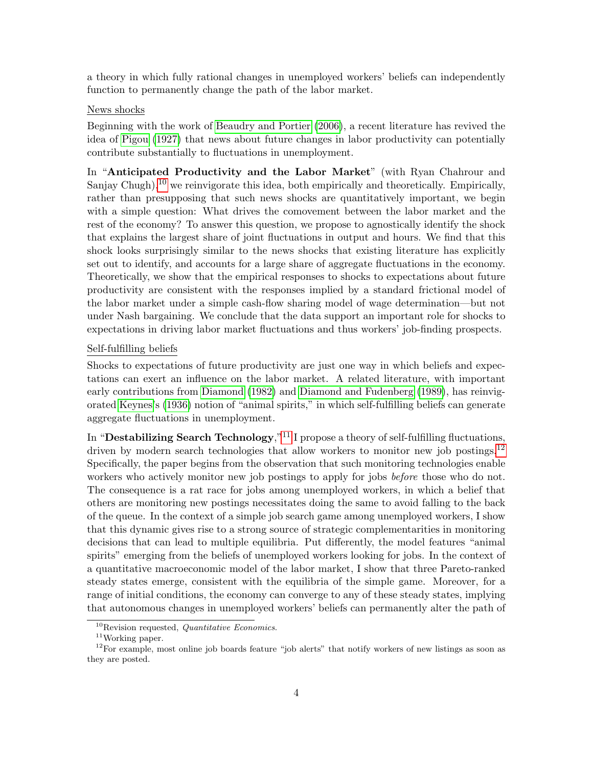a theory in which fully rational changes in unemployed workers' beliefs can independently function to permanently change the path of the labor market.

#### News shocks

Beginning with the work of [Beaudry and Portier](#page-6-7) [\(2006\)](#page-6-7), a recent literature has revived the idea of [Pigou](#page-6-8) [\(1927\)](#page-6-8) that news about future changes in labor productivity can potentially contribute substantially to fluctuations in unemployment.

In "Anticipated Productivity and the Labor Market" (with Ryan Chahrour and Sanjay Chugh),<sup>[10](#page-3-0)</sup> we reinvigorate this idea, both empirically and theoretically. Empirically, rather than presupposing that such news shocks are quantitatively important, we begin with a simple question: What drives the comovement between the labor market and the rest of the economy? To answer this question, we propose to agnostically identify the shock that explains the largest share of joint fluctuations in output and hours. We find that this shock looks surprisingly similar to the news shocks that existing literature has explicitly set out to identify, and accounts for a large share of aggregate fluctuations in the economy. Theoretically, we show that the empirical responses to shocks to expectations about future productivity are consistent with the responses implied by a standard frictional model of the labor market under a simple cash-flow sharing model of wage determination—but not under Nash bargaining. We conclude that the data support an important role for shocks to expectations in driving labor market fluctuations and thus workers' job-finding prospects.

### Self-fulfilling beliefs

Shocks to expectations of future productivity are just one way in which beliefs and expectations can exert an influence on the labor market. A related literature, with important early contributions from [Diamond](#page-6-9) [\(1982\)](#page-6-9) and [Diamond and Fudenberg](#page-6-10) [\(1989\)](#page-6-10), has reinvigorated [Keynes'](#page-6-11)s [\(1936\)](#page-6-11) notion of "animal spirits," in which self-fulfilling beliefs can generate aggregate fluctuations in unemployment.

In "Destabilizing Search Technology,"<sup>[11](#page-3-1)</sup> I propose a theory of self-fulfilling fluctuations, driven by modern search technologies that allow workers to monitor new job postings.<sup>[12](#page-3-2)</sup> Specifically, the paper begins from the observation that such monitoring technologies enable workers who actively monitor new job postings to apply for jobs *before* those who do not. The consequence is a rat race for jobs among unemployed workers, in which a belief that others are monitoring new postings necessitates doing the same to avoid falling to the back of the queue. In the context of a simple job search game among unemployed workers, I show that this dynamic gives rise to a strong source of strategic complementarities in monitoring decisions that can lead to multiple equilibria. Put differently, the model features "animal spirits" emerging from the beliefs of unemployed workers looking for jobs. In the context of a quantitative macroeconomic model of the labor market, I show that three Pareto-ranked steady states emerge, consistent with the equilibria of the simple game. Moreover, for a range of initial conditions, the economy can converge to any of these steady states, implying that autonomous changes in unemployed workers' beliefs can permanently alter the path of

<span id="page-3-0"></span> $10$ Revision requested, *Quantitative Economics*.

<span id="page-3-2"></span><span id="page-3-1"></span> $11$ Working paper.

 $12$ For example, most online job boards feature "job alerts" that notify workers of new listings as soon as they are posted.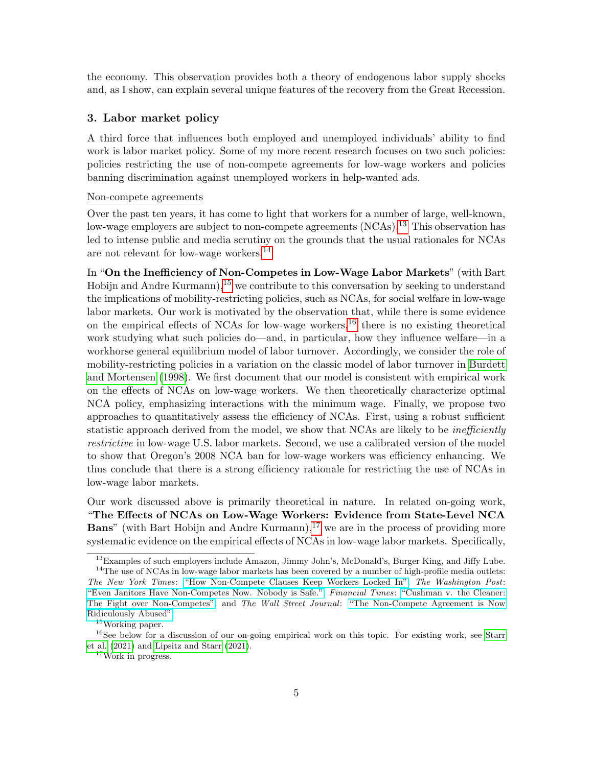the economy. This observation provides both a theory of endogenous labor supply shocks and, as I show, can explain several unique features of the recovery from the Great Recession.

### 3. Labor market policy

A third force that influences both employed and unemployed individuals' ability to find work is labor market policy. Some of my more recent research focuses on two such policies: policies restricting the use of non-compete agreements for low-wage workers and policies banning discrimination against unemployed workers in help-wanted ads.

### Non-compete agreements

Over the past ten years, it has come to light that workers for a number of large, well-known, low-wage employers are subject to non-compete agreements  $(NCAs)$ .<sup>[13](#page-4-0)</sup> This observation has led to intense public and media scrutiny on the grounds that the usual rationales for NCAs are not relevant for low-wage workers.[14](#page-4-1)

In "On the Inefficiency of Non-Competes in Low-Wage Labor Markets" (with Bart Hobijn and Andre Kurmann),  $15$  we contribute to this conversation by seeking to understand the implications of mobility-restricting policies, such as NCAs, for social welfare in low-wage labor markets. Our work is motivated by the observation that, while there is some evidence on the empirical effects of NCAs for low-wage workers,<sup>[16](#page-4-3)</sup> there is no existing theoretical work studying what such policies do—and, in particular, how they influence welfare—in a workhorse general equilibrium model of labor turnover. Accordingly, we consider the role of mobility-restricting policies in a variation on the classic model of labor turnover in [Burdett](#page-6-12) [and Mortensen](#page-6-12) [\(1998\)](#page-6-12). We first document that our model is consistent with empirical work on the effects of NCAs on low-wage workers. We then theoretically characterize optimal NCA policy, emphasizing interactions with the minimum wage. Finally, we propose two approaches to quantitatively assess the efficiency of NCAs. First, using a robust sufficient statistic approach derived from the model, we show that NCAs are likely to be *inefficiently* restrictive in low-wage U.S. labor markets. Second, we use a calibrated version of the model to show that Oregon's 2008 NCA ban for low-wage workers was efficiency enhancing. We thus conclude that there is a strong efficiency rationale for restricting the use of NCAs in low-wage labor markets.

Our work discussed above is primarily theoretical in nature. In related on-going work, "The Effects of NCAs on Low-Wage Workers: Evidence from State-Level NCA **Bans**" (with Bart Hobijn and Andre Kurmann),  $17$  we are in the process of providing more systematic evidence on the empirical effects of NCAs in low-wage labor markets. Specifically,

<span id="page-4-1"></span><span id="page-4-0"></span><sup>&</sup>lt;sup>13</sup>Examples of such employers include Amazon, Jimmy John's, McDonald's, Burger King, and Jiffy Lube. <sup>14</sup>The use of NCAs in low-wage labor markets has been covered by a number of high-profile media outlets: The New York Times: ["How Non-Compete Clauses Keep Workers Locked In";](https://www.nytimes.com/2017/05/13/business/noncompete-clauses.html) The Washington Post: ["Even Janitors Have Non-Competes Now. Nobody is Safe.";](https://www.washingtonpost.com/business/2018/10/18/even-janitors-have-noncompetes-now-nobody-is-safe/) Financial Times: ["Cushman v. the Cleaner:](https://www.ft.com/content/bfb69d30-ce44-11e8-b276-b9069bde0956) [The Fight over Non-Competes";](https://www.ft.com/content/bfb69d30-ce44-11e8-b276-b9069bde0956) and The Wall Street Journal: ["The Non-Compete Agreement is Now](https://www.wsj.com/articles/the-noncompete-agreement-is-now-ridiculously-abused-11562620119) [Ridiculously Abused".](https://www.wsj.com/articles/the-noncompete-agreement-is-now-ridiculously-abused-11562620119)

<span id="page-4-3"></span><span id="page-4-2"></span><sup>15</sup>Working paper.

<sup>&</sup>lt;sup>16</sup>See below for a discussion of our on-going empirical work on this topic. For existing work, see [Starr](#page-7-1) [et al.](#page-7-1) [\(2021\)](#page-7-1) and [Lipsitz and Starr](#page-6-13) [\(2021\)](#page-6-13).

<span id="page-4-4"></span><sup>17</sup>Work in progress.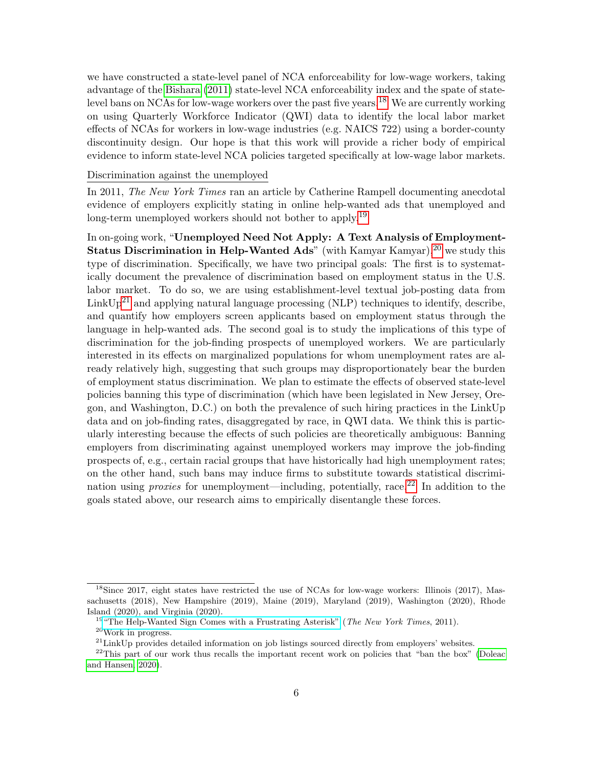we have constructed a state-level panel of NCA enforceability for low-wage workers, taking advantage of the [Bishara](#page-6-14) [\(2011\)](#page-6-14) state-level NCA enforceability index and the spate of state-level bans on NCAs for low-wage workers over the past five years.<sup>[18](#page-5-0)</sup> We are currently working on using Quarterly Workforce Indicator (QWI) data to identify the local labor market effects of NCAs for workers in low-wage industries (e.g. NAICS 722) using a border-county discontinuity design. Our hope is that this work will provide a richer body of empirical evidence to inform state-level NCA policies targeted specifically at low-wage labor markets.

#### Discrimination against the unemployed

In 2011, The New York Times ran an article by Catherine Rampell documenting anecdotal evidence of employers explicitly stating in online help-wanted ads that unemployed and long-term unemployed workers should not bother to apply.<sup>[19](#page-5-1)</sup>

In on-going work, "Unemployed Need Not Apply: A Text Analysis of Employment-**Status Discrimination in Help-Wanted Ads**" (with Kamyar Kamyar), <sup>[20](#page-5-2)</sup> we study this type of discrimination. Specifically, we have two principal goals: The first is to systematically document the prevalence of discrimination based on employment status in the U.S. labor market. To do so, we are using establishment-level textual job-posting data from  $\mathrm{LinkUp}^{21}$  $\mathrm{LinkUp}^{21}$  $\mathrm{LinkUp}^{21}$  and applying natural language processing (NLP) techniques to identify, describe, and quantify how employers screen applicants based on employment status through the language in help-wanted ads. The second goal is to study the implications of this type of discrimination for the job-finding prospects of unemployed workers. We are particularly interested in its effects on marginalized populations for whom unemployment rates are already relatively high, suggesting that such groups may disproportionately bear the burden of employment status discrimination. We plan to estimate the effects of observed state-level policies banning this type of discrimination (which have been legislated in New Jersey, Oregon, and Washington, D.C.) on both the prevalence of such hiring practices in the LinkUp data and on job-finding rates, disaggregated by race, in QWI data. We think this is particularly interesting because the effects of such policies are theoretically ambiguous: Banning employers from discriminating against unemployed workers may improve the job-finding prospects of, e.g., certain racial groups that have historically had high unemployment rates; on the other hand, such bans may induce firms to substitute towards statistical discrimination using *proxies* for unemployment—including, potentially, race.<sup>[22](#page-5-4)</sup> In addition to the goals stated above, our research aims to empirically disentangle these forces.

<span id="page-5-0"></span><sup>&</sup>lt;sup>18</sup>Since 2017, eight states have restricted the use of NCAs for low-wage workers: Illinois (2017), Massachusetts (2018), New Hampshire (2019), Maine (2019), Maryland (2019), Washington (2020), Rhode Island (2020), and Virginia (2020).

<span id="page-5-1"></span> $19$  ["The Help-Wanted Sign Comes with a Frustrating Asterisk"](https://www.nytimes.com/2011/07/26/business/help-wanted-ads-exclude-the-long-term-jobless.html) (*The New York Times*, 2011). <sup>20</sup>Work in progress.

<span id="page-5-3"></span><span id="page-5-2"></span>

<span id="page-5-4"></span><sup>&</sup>lt;sup>21</sup>LinkUp provides detailed information on job listings sourced directly from employers' websites.

<sup>&</sup>lt;sup>22</sup>This part of our work thus recalls the important recent work on policies that "ban the box" [\(Doleac](#page-6-15) [and Hansen, 2020\)](#page-6-15).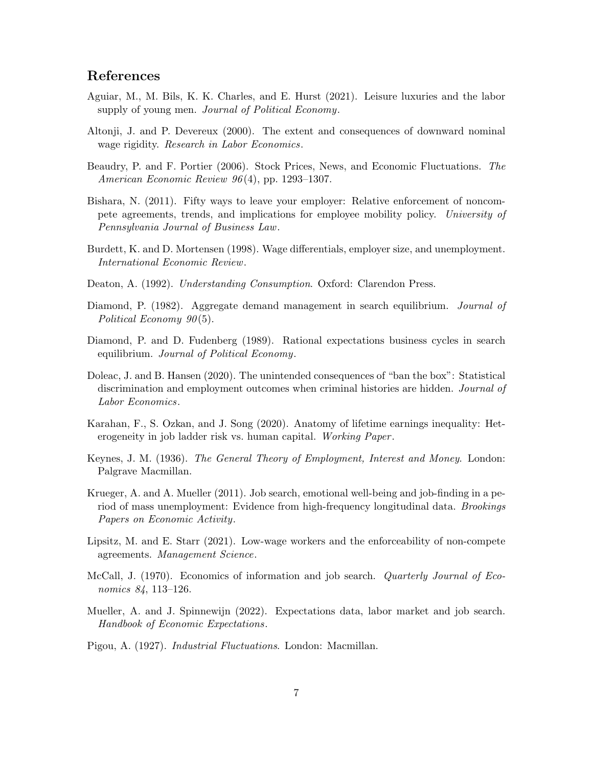# References

- <span id="page-6-6"></span>Aguiar, M., M. Bils, K. K. Charles, and E. Hurst (2021). Leisure luxuries and the labor supply of young men. *Journal of Political Economy*.
- <span id="page-6-3"></span>Altonji, J. and P. Devereux (2000). The extent and consequences of downward nominal wage rigidity. Research in Labor Economics.
- <span id="page-6-7"></span>Beaudry, P. and F. Portier (2006). Stock Prices, News, and Economic Fluctuations. The American Economic Review 96 (4), pp. 1293–1307.
- <span id="page-6-14"></span>Bishara, N. (2011). Fifty ways to leave your employer: Relative enforcement of noncompete agreements, trends, and implications for employee mobility policy. University of Pennsylvania Journal of Business Law.
- <span id="page-6-12"></span>Burdett, K. and D. Mortensen (1998). Wage differentials, employer size, and unemployment. International Economic Review.
- <span id="page-6-5"></span>Deaton, A. (1992). Understanding Consumption. Oxford: Clarendon Press.
- <span id="page-6-9"></span>Diamond, P. (1982). Aggregate demand management in search equilibrium. *Journal of* Political Economy  $90(5)$ .
- <span id="page-6-10"></span>Diamond, P. and D. Fudenberg (1989). Rational expectations business cycles in search equilibrium. Journal of Political Economy.
- <span id="page-6-15"></span>Doleac, J. and B. Hansen (2020). The unintended consequences of "ban the box": Statistical discrimination and employment outcomes when criminal histories are hidden. Journal of Labor Economics.
- <span id="page-6-4"></span>Karahan, F., S. Ozkan, and J. Song (2020). Anatomy of lifetime earnings inequality: Heterogeneity in job ladder risk vs. human capital. Working Paper.
- <span id="page-6-11"></span>Keynes, J. M. (1936). The General Theory of Employment, Interest and Money. London: Palgrave Macmillan.
- <span id="page-6-2"></span>Krueger, A. and A. Mueller (2011). Job search, emotional well-being and job-finding in a period of mass unemployment: Evidence from high-frequency longitudinal data. Brookings Papers on Economic Activity.
- <span id="page-6-13"></span>Lipsitz, M. and E. Starr (2021). Low-wage workers and the enforceability of non-compete agreements. Management Science.
- <span id="page-6-0"></span>McCall, J. (1970). Economics of information and job search. *Quarterly Journal of Eco*nomics 84, 113–126.
- <span id="page-6-1"></span>Mueller, A. and J. Spinnewijn (2022). Expectations data, labor market and job search. Handbook of Economic Expectations.
- <span id="page-6-8"></span>Pigou, A. (1927). Industrial Fluctuations. London: Macmillan.